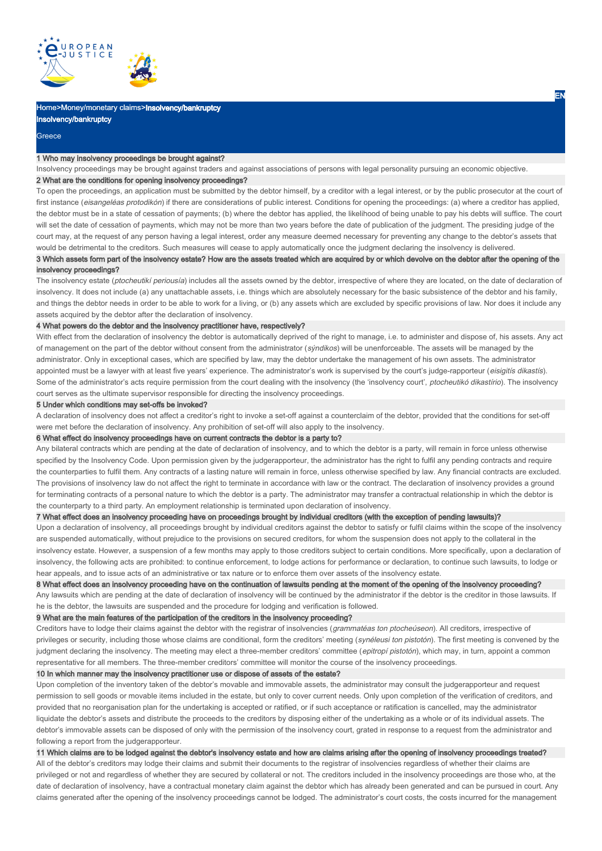

# Home>Money/monetary claims>Insolvency/bankruptcy

Insolvency/bankruptcy

# **Greece**

#### 1 Who may insolvency proceedings be brought against?

Insolvency proceedings may be brought against traders and against associations of persons with legal personality pursuing an economic objective.

## 2 What are the conditions for opening insolvency proceedings?

To open the proceedings, an application must be submitted by the debtor himself, by a creditor with a legal interest, or by the public prosecutor at the court of first instance (eisangeléas protodikón) if there are considerations of public interest. Conditions for opening the proceedings: (a) where a creditor has applied, the debtor must be in a state of cessation of payments; (b) where the debtor has applied, the likelihood of being unable to pay his debts will suffice. The court will set the date of cessation of payments, which may not be more than two years before the date of publication of the judgment. The presiding judge of the court may, at the request of any person having a legal interest, order any measure deemed necessary for preventing any change to the debtor's assets that would be detrimental to the creditors. Such measures will cease to apply automatically once the judgment declaring the insolvency is delivered.

# 3 Which assets form part of the insolvency estate? How are the assets treated which are acquired by or which devolve on the debtor after the opening of the insolvency proceedings?

The insolvency estate (ptocheutikí periousía) includes all the assets owned by the debtor, irrespective of where they are located, on the date of declaration of insolvency. It does not include (a) any unattachable assets, i.e. things which are absolutely necessary for the basic subsistence of the debtor and his family, and things the debtor needs in order to be able to work for a living, or (b) any assets which are excluded by specific provisions of law. Nor does it include any assets acquired by the debtor after the declaration of insolvency.

## 4 What powers do the debtor and the insolvency practitioner have, respectively?

With effect from the declaration of insolvency the debtor is automatically deprived of the right to manage, i.e. to administer and dispose of, his assets. Any act of management on the part of the debtor without consent from the administrator (sýndikos) will be unenforceable. The assets will be managed by the administrator. Only in exceptional cases, which are specified by law, may the debtor undertake the management of his own assets. The administrator appointed must be a lawyer with at least five years' experience. The administrator's work is supervised by the court's judge-rapporteur (eisigitís dikastís). Some of the administrator's acts require permission from the court dealing with the insolvency (the 'insolvency court', ptocheutikó dikastírio). The insolvency court serves as the ultimate supervisor responsible for directing the insolvency proceedings.

#### 5 Under which conditions may set-offs be invoked?

A declaration of insolvency does not affect a creditor's right to invoke a set-off against a counterclaim of the debtor, provided that the conditions for set-off were met before the declaration of insolvency. Any prohibition of set-off will also apply to the insolvency.

#### 6 What effect do insolvency proceedings have on current contracts the debtor is a party to?

Any bilateral contracts which are pending at the date of declaration of insolvency, and to which the debtor is a party, will remain in force unless otherwise specified by the Insolvency Code. Upon permission given by the judgerapporteur, the administrator has the right to fulfil any pending contracts and require the counterparties to fulfil them. Any contracts of a lasting nature will remain in force, unless otherwise specified by law. Any financial contracts are excluded. The provisions of insolvency law do not affect the right to terminate in accordance with law or the contract. The declaration of insolvency provides a ground for terminating contracts of a personal nature to which the debtor is a party. The administrator may transfer a contractual relationship in which the debtor is the counterparty to a third party. An employment relationship is terminated upon declaration of insolvency.

# 7 What effect does an insolvency proceeding have on proceedings brought by individual creditors (with the exception of pending lawsuits)?

Upon a declaration of insolvency, all proceedings brought by individual creditors against the debtor to satisfy or fulfil claims within the scope of the insolvency are suspended automatically, without prejudice to the provisions on secured creditors, for whom the suspension does not apply to the collateral in the insolvency estate. However, a suspension of a few months may apply to those creditors subject to certain conditions. More specifically, upon a declaration of insolvency, the following acts are prohibited: to continue enforcement, to lodge actions for performance or declaration, to continue such lawsuits, to lodge or hear appeals, and to issue acts of an administrative or tax nature or to enforce them over assets of the insolvency estate.

8 What effect does an insolvency proceeding have on the continuation of lawsuits pending at the moment of the opening of the insolvency proceeding? Any lawsuits which are pending at the date of declaration of insolvency will be continued by the administrator if the debtor is the creditor in those lawsuits. If he is the debtor, the lawsuits are suspended and the procedure for lodging and verification is followed.

# 9 What are the main features of the participation of the creditors in the insolvency proceeding?

Creditors have to lodge their claims against the debtor with the registrar of insolvencies (grammatéas ton ptocheúseon). All creditors, irrespective of privileges or security, including those whose claims are conditional, form the creditors' meeting (synéleusi ton pistotón). The first meeting is convened by the judgment declaring the insolvency. The meeting may elect a three-member creditors' committee (epitropí pistotón), which may, in turn, appoint a common representative for all members. The three-member creditors' committee will monitor the course of the insolvency proceedings.

# 10 In which manner may the insolvency practitioner use or dispose of assets of the estate?

Upon completion of the inventory taken of the debtor's movable and immovable assets, the administrator may consult the judgerapporteur and request permission to sell goods or movable items included in the estate, but only to cover current needs. Only upon completion of the verification of creditors, and provided that no reorganisation plan for the undertaking is accepted or ratified, or if such acceptance or ratification is cancelled, may the administrator liquidate the debtor's assets and distribute the proceeds to the creditors by disposing either of the undertaking as a whole or of its individual assets. The debtor's immovable assets can be disposed of only with the permission of the insolvency court, grated in response to a request from the administrator and following a report from the judgerapporteur.

# 11 Which claims are to be lodged against the debtor's insolvency estate and how are claims arising after the opening of insolvency proceedings treated?

All of the debtor's creditors may lodge their claims and submit their documents to the registrar of insolvencies regardless of whether their claims are privileged or not and regardless of whether they are secured by collateral or not. The creditors included in the insolvency proceedings are those who, at the date of declaration of insolvency, have a contractual monetary claim against the debtor which has already been generated and can be pursued in court. Any claims generated after the opening of the insolvency proceedings cannot be lodged. The administrator's court costs, the costs incurred for the management